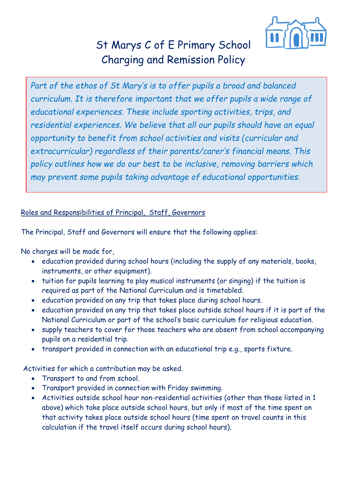

## [St Marys C of E Primary School](http://www.cherrytree.herts.sch.uk/policies/chargingandremissionpolicynov14.pdf#_blank) Charging and Remission Policy

*Part of the ethos of St Mary's is to offer pupils a broad and balanced curriculum. It is therefore important that we offer pupils a wide range of educational experiences. These include sporting activities, trips, and residential experiences. We believe that all our pupils should have an equal opportunity to benefit from school activities and visits (curricular and extracurricular) regardless of their parents/carer's financial means. This policy outlines how we do our best to be inclusive, removing barriers which may prevent some pupils taking advantage of educational opportunities.*

## Roles and Responsibilities of Principal, Staff, Governors

The Principal, Staff and Governors will ensure that the following applies:

No charges will be made for,

- education provided during school hours (including the supply of any materials, books, instruments, or other equipment).
- tuition for pupils learning to play musical instruments (or singing) if the tuition is required as part of the National Curriculum and is timetabled.
- education provided on any trip that takes place during school hours.
- education provided on any trip that takes place outside school hours if it is part of the National Curriculum or part of the school's basic curriculum for religious education.
- supply teachers to cover for those teachers who are absent from school accompanying pupils on a residential trip.
- transport provided in connection with an educational trip e.g., sports fixture.

Activities for which a contribution may be asked.

- Transport to and from school.
- Transport provided in connection with Friday swimming.
- Activities outside school hour non-residential activities (other than those listed in 1 above) which take place outside school hours, but only if most of the time spent on that activity takes place outside school hours (time spent on travel counts in this calculation if the travel itself occurs during school hours).